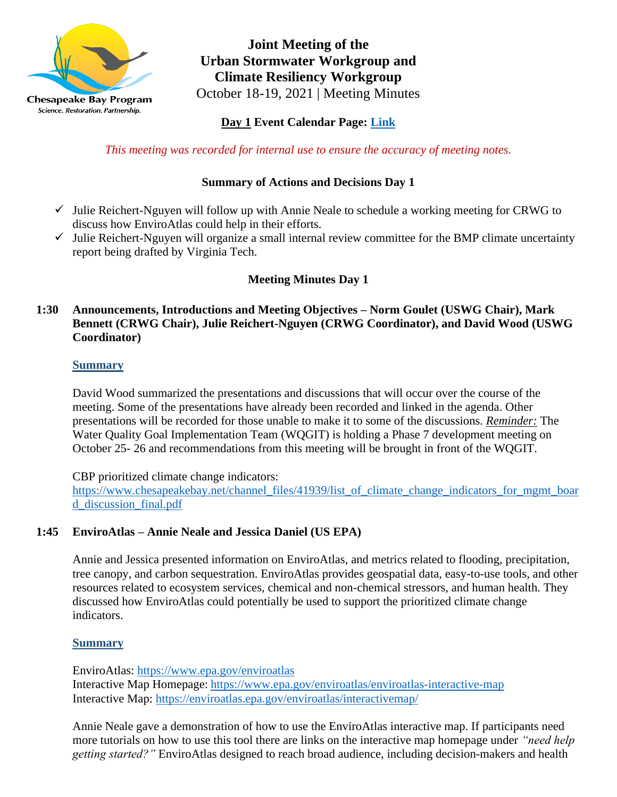

**Joint Meeting of the Urban Stormwater Workgroup and Climate Resiliency Workgroup** October 18-19, 2021 | Meeting Minutes

**Day 1 Event Calendar Page: [Link](https://www.chesapeakebay.net/what/event/climate_resiliency_workgroup_crwg_october_2021_meeting)**

*This meeting was recorded for internal use to ensure the accuracy of meeting notes.*

# **Summary of Actions and Decisions Day 1**

- $\checkmark$  Julie Reichert-Nguyen will follow up with Annie Neale to schedule a working meeting for CRWG to discuss how EnviroAtlas could help in their efforts.
- ✓ Julie Reichert-Nguyen will organize a small internal review committee for the BMP climate uncertainty report being drafted by Virginia Tech.

# **Meeting Minutes Day 1**

### **1:30 Announcements, Introductions and Meeting Objectives – Norm Goulet (USWG Chair), Mark Bennett (CRWG Chair), Julie Reichert-Nguyen (CRWG Coordinator), and David Wood (USWG Coordinator)**

### **Summary**

David Wood summarized the presentations and discussions that will occur over the course of the meeting. Some of the presentations have already been recorded and linked in the agenda. Other presentations will be recorded for those unable to make it to some of the discussions. *Reminder:* The Water Quality Goal Implementation Team (WQGIT) is holding a Phase 7 development meeting on October 25- 26 and recommendations from this meeting will be brought in front of the WQGIT.

CBP prioritized climate change indicators:

[https://www.chesapeakebay.net/channel\\_files/41939/list\\_of\\_climate\\_change\\_indicators\\_for\\_mgmt\\_boar](https://www.chesapeakebay.net/channel_files/41939/list_of_climate_change_indicators_for_mgmt_board_discussion_final.pdf) [d\\_discussion\\_final.pdf](https://www.chesapeakebay.net/channel_files/41939/list_of_climate_change_indicators_for_mgmt_board_discussion_final.pdf)

### **1:45 EnviroAtlas – Annie Neale and Jessica Daniel (US EPA)**

Annie and Jessica presented information on EnviroAtlas, and metrics related to flooding, precipitation, tree canopy, and carbon sequestration. EnviroAtlas provides geospatial data, easy-to-use tools, and other resources related to ecosystem services, chemical and non-chemical stressors, and human health. They discussed how EnviroAtlas could potentially be used to support the prioritized climate change indicators.

### **Summary**

EnviroAtlas: <https://www.epa.gov/enviroatlas> Interactive Map Homepage: <https://www.epa.gov/enviroatlas/enviroatlas-interactive-map> Interactive Map: <https://enviroatlas.epa.gov/enviroatlas/interactivemap/>

Annie Neale gave a demonstration of how to use the EnviroAtlas interactive map. If participants need more tutorials on how to use this tool there are links on the interactive map homepage under *"need help getting started?"* EnviroAtlas designed to reach broad audience, including decision-makers and health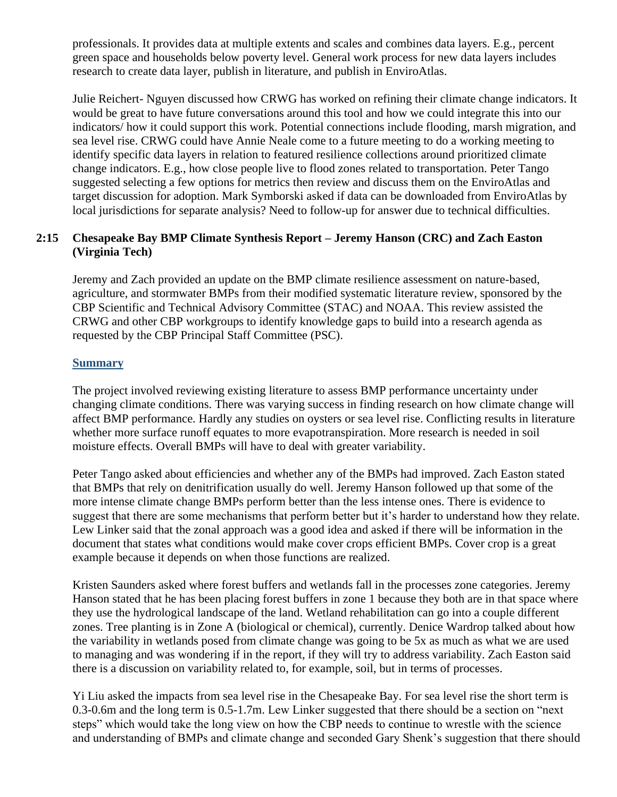professionals. It provides data at multiple extents and scales and combines data layers. E.g., percent green space and households below poverty level. General work process for new data layers includes research to create data layer, publish in literature, and publish in EnviroAtlas.

Julie Reichert- Nguyen discussed how CRWG has worked on refining their climate change indicators. It would be great to have future conversations around this tool and how we could integrate this into our indicators/ how it could support this work. Potential connections include flooding, marsh migration, and sea level rise. CRWG could have Annie Neale come to a future meeting to do a working meeting to identify specific data layers in relation to featured resilience collections around prioritized climate change indicators. E.g., how close people live to flood zones related to transportation. Peter Tango suggested selecting a few options for metrics then review and discuss them on the EnviroAtlas and target discussion for adoption. Mark Symborski asked if data can be downloaded from EnviroAtlas by local jurisdictions for separate analysis? Need to follow-up for answer due to technical difficulties.

### **2:15 Chesapeake Bay BMP Climate Synthesis Report – Jeremy Hanson (CRC) and Zach Easton (Virginia Tech)**

Jeremy and Zach provided an update on the BMP climate resilience assessment on nature-based, agriculture, and stormwater BMPs from their modified systematic literature review, sponsored by the CBP Scientific and Technical Advisory Committee (STAC) and NOAA. This review assisted the CRWG and other CBP workgroups to identify knowledge gaps to build into a research agenda as requested by the CBP Principal Staff Committee (PSC).

### **Summary**

The project involved reviewing existing literature to assess BMP performance uncertainty under changing climate conditions. There was varying success in finding research on how climate change will affect BMP performance. Hardly any studies on oysters or sea level rise. Conflicting results in literature whether more surface runoff equates to more evapotranspiration. More research is needed in soil moisture effects. Overall BMPs will have to deal with greater variability.

Peter Tango asked about efficiencies and whether any of the BMPs had improved. Zach Easton stated that BMPs that rely on denitrification usually do well. Jeremy Hanson followed up that some of the more intense climate change BMPs perform better than the less intense ones. There is evidence to suggest that there are some mechanisms that perform better but it's harder to understand how they relate. Lew Linker said that the zonal approach was a good idea and asked if there will be information in the document that states what conditions would make cover crops efficient BMPs. Cover crop is a great example because it depends on when those functions are realized.

Kristen Saunders asked where forest buffers and wetlands fall in the processes zone categories. Jeremy Hanson stated that he has been placing forest buffers in zone 1 because they both are in that space where they use the hydrological landscape of the land. Wetland rehabilitation can go into a couple different zones. Tree planting is in Zone A (biological or chemical), currently. Denice Wardrop talked about how the variability in wetlands posed from climate change was going to be 5x as much as what we are used to managing and was wondering if in the report, if they will try to address variability. Zach Easton said there is a discussion on variability related to, for example, soil, but in terms of processes.

Yi Liu asked the impacts from sea level rise in the Chesapeake Bay. For sea level rise the short term is 0.3-0.6m and the long term is 0.5-1.7m. Lew Linker suggested that there should be a section on "next steps" which would take the long view on how the CBP needs to continue to wrestle with the science and understanding of BMPs and climate change and seconded Gary Shenk's suggestion that there should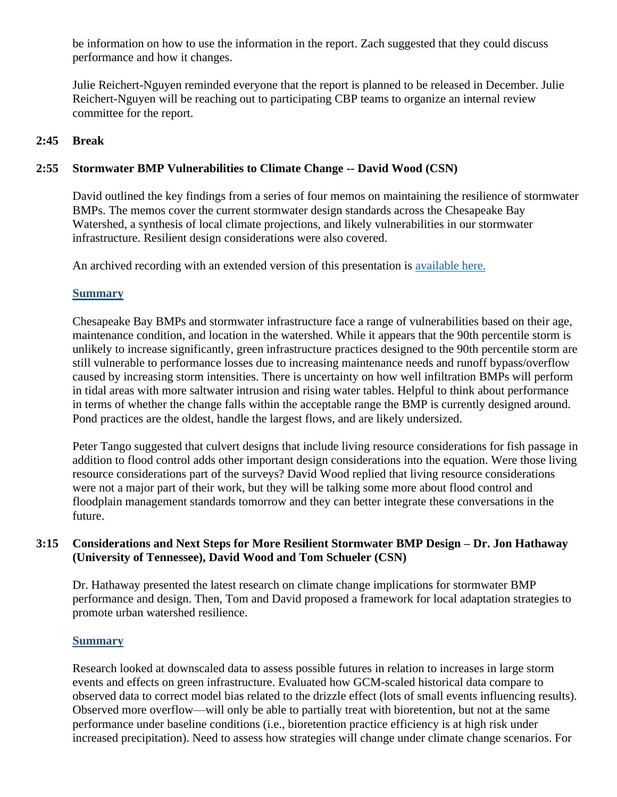be information on how to use the information in the report. Zach suggested that they could discuss performance and how it changes.

Julie Reichert-Nguyen reminded everyone that the report is planned to be released in December. Julie Reichert-Nguyen will be reaching out to participating CBP teams to organize an internal review committee for the report.

#### **2:45 Break**

#### **2:55 Stormwater BMP Vulnerabilities to Climate Change -- David Wood (CSN)**

David outlined the key findings from a series of four memos on maintaining the resilience of stormwater BMPs. The memos cover the current stormwater design standards across the Chesapeake Bay Watershed, a synthesis of local climate projections, and likely vulnerabilities in our stormwater infrastructure. Resilient design considerations were also covered.

An archived recording with an extended version of this presentation is [available here.](https://chesapeakestormwater.net/events/bmp_vunerability_resilience/)

#### **Summary**

Chesapeake Bay BMPs and stormwater infrastructure face a range of vulnerabilities based on their age, maintenance condition, and location in the watershed. While it appears that the 90th percentile storm is unlikely to increase significantly, green infrastructure practices designed to the 90th percentile storm are still vulnerable to performance losses due to increasing maintenance needs and runoff bypass/overflow caused by increasing storm intensities. There is uncertainty on how well infiltration BMPs will perform in tidal areas with more saltwater intrusion and rising water tables. Helpful to think about performance in terms of whether the change falls within the acceptable range the BMP is currently designed around. Pond practices are the oldest, handle the largest flows, and are likely undersized.

Peter Tango suggested that culvert designs that include living resource considerations for fish passage in addition to flood control adds other important design considerations into the equation. Were those living resource considerations part of the surveys? David Wood replied that living resource considerations were not a major part of their work, but they will be talking some more about flood control and floodplain management standards tomorrow and they can better integrate these conversations in the future.

#### **3:15 Considerations and Next Steps for More Resilient Stormwater BMP Design – Dr. Jon Hathaway (University of Tennessee), David Wood and Tom Schueler (CSN)**

Dr. Hathaway presented the latest research on climate change implications for stormwater BMP performance and design. Then, Tom and David proposed a framework for local adaptation strategies to promote urban watershed resilience.

#### **Summary**

Research looked at downscaled data to assess possible futures in relation to increases in large storm events and effects on green infrastructure. Evaluated how GCM-scaled historical data compare to observed data to correct model bias related to the drizzle effect (lots of small events influencing results). Observed more overflow—will only be able to partially treat with bioretention, but not at the same performance under baseline conditions (i.e., bioretention practice efficiency is at high risk under increased precipitation). Need to assess how strategies will change under climate change scenarios. For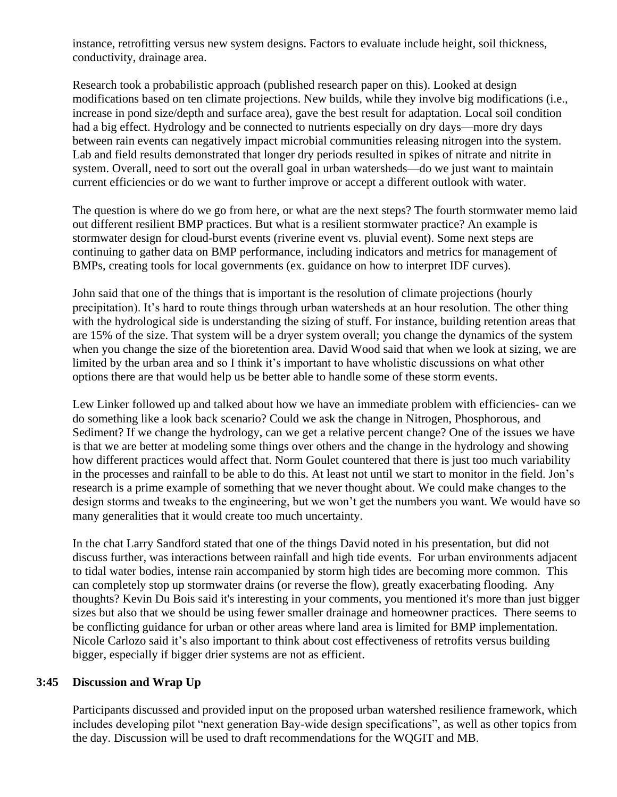instance, retrofitting versus new system designs. Factors to evaluate include height, soil thickness, conductivity, drainage area.

Research took a probabilistic approach (published research paper on this). Looked at design modifications based on ten climate projections. New builds, while they involve big modifications (i.e., increase in pond size/depth and surface area), gave the best result for adaptation. Local soil condition had a big effect. Hydrology and be connected to nutrients especially on dry days—more dry days between rain events can negatively impact microbial communities releasing nitrogen into the system. Lab and field results demonstrated that longer dry periods resulted in spikes of nitrate and nitrite in system. Overall, need to sort out the overall goal in urban watersheds—do we just want to maintain current efficiencies or do we want to further improve or accept a different outlook with water.

The question is where do we go from here, or what are the next steps? The fourth stormwater memo laid out different resilient BMP practices. But what is a resilient stormwater practice? An example is stormwater design for cloud-burst events (riverine event vs. pluvial event). Some next steps are continuing to gather data on BMP performance, including indicators and metrics for management of BMPs, creating tools for local governments (ex. guidance on how to interpret IDF curves).

John said that one of the things that is important is the resolution of climate projections (hourly precipitation). It's hard to route things through urban watersheds at an hour resolution. The other thing with the hydrological side is understanding the sizing of stuff. For instance, building retention areas that are 15% of the size. That system will be a dryer system overall; you change the dynamics of the system when you change the size of the bioretention area. David Wood said that when we look at sizing, we are limited by the urban area and so I think it's important to have wholistic discussions on what other options there are that would help us be better able to handle some of these storm events.

Lew Linker followed up and talked about how we have an immediate problem with efficiencies- can we do something like a look back scenario? Could we ask the change in Nitrogen, Phosphorous, and Sediment? If we change the hydrology, can we get a relative percent change? One of the issues we have is that we are better at modeling some things over others and the change in the hydrology and showing how different practices would affect that. Norm Goulet countered that there is just too much variability in the processes and rainfall to be able to do this. At least not until we start to monitor in the field. Jon's research is a prime example of something that we never thought about. We could make changes to the design storms and tweaks to the engineering, but we won't get the numbers you want. We would have so many generalities that it would create too much uncertainty.

In the chat Larry Sandford stated that one of the things David noted in his presentation, but did not discuss further, was interactions between rainfall and high tide events. For urban environments adjacent to tidal water bodies, intense rain accompanied by storm high tides are becoming more common. This can completely stop up stormwater drains (or reverse the flow), greatly exacerbating flooding. Any thoughts? Kevin Du Bois said it's interesting in your comments, you mentioned it's more than just bigger sizes but also that we should be using fewer smaller drainage and homeowner practices. There seems to be conflicting guidance for urban or other areas where land area is limited for BMP implementation. Nicole Carlozo said it's also important to think about cost effectiveness of retrofits versus building bigger, especially if bigger drier systems are not as efficient.

#### **3:45 Discussion and Wrap Up**

Participants discussed and provided input on the proposed urban watershed resilience framework, which includes developing pilot "next generation Bay-wide design specifications", as well as other topics from the day. Discussion will be used to draft recommendations for the WQGIT and MB.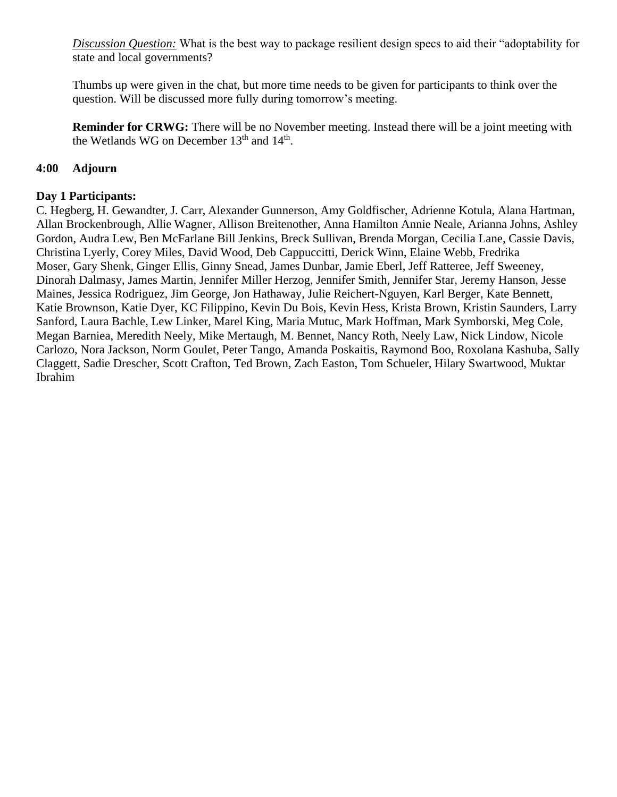*Discussion Question:* What is the best way to package resilient design specs to aid their "adoptability for state and local governments?

Thumbs up were given in the chat, but more time needs to be given for participants to think over the question. Will be discussed more fully during tomorrow's meeting.

**Reminder for CRWG:** There will be no November meeting. Instead there will be a joint meeting with the Wetlands WG on December  $13<sup>th</sup>$  and  $14<sup>th</sup>$ .

### **4:00 Adjourn**

### **Day 1 Participants:**

C. Hegberg, H. Gewandter, J. Carr, Alexander Gunnerson, Amy Goldfischer, Adrienne Kotula, Alana Hartman, Allan Brockenbrough, Allie Wagner, Allison Breitenother, Anna Hamilton Annie Neale, Arianna Johns, Ashley Gordon, Audra Lew, Ben McFarlane Bill Jenkins, Breck Sullivan, Brenda Morgan, Cecilia Lane, Cassie Davis, Christina Lyerly, Corey Miles, David Wood, Deb Cappuccitti, Derick Winn, Elaine Webb, Fredrika Moser, Gary Shenk, Ginger Ellis, Ginny Snead, James Dunbar, Jamie Eberl, Jeff Ratteree, Jeff Sweeney, Dinorah Dalmasy, James Martin, Jennifer Miller Herzog, Jennifer Smith, Jennifer Star, Jeremy Hanson, Jesse Maines, Jessica Rodriguez, Jim George, Jon Hathaway, Julie Reichert-Nguyen, Karl Berger, Kate Bennett, Katie Brownson, Katie Dyer, KC Filippino, Kevin Du Bois, Kevin Hess, Krista Brown, Kristin Saunders, Larry Sanford, Laura Bachle, Lew Linker, Marel King, Maria Mutuc, Mark Hoffman, Mark Symborski, Meg Cole, Megan Barniea, Meredith Neely, Mike Mertaugh, M. Bennet, Nancy Roth, Neely Law, Nick Lindow, Nicole Carlozo, Nora Jackson, Norm Goulet, Peter Tango, Amanda Poskaitis, Raymond Boo, Roxolana Kashuba, Sally Claggett, Sadie Drescher, Scott Crafton, Ted Brown, Zach Easton, Tom Schueler, Hilary Swartwood, Muktar Ibrahim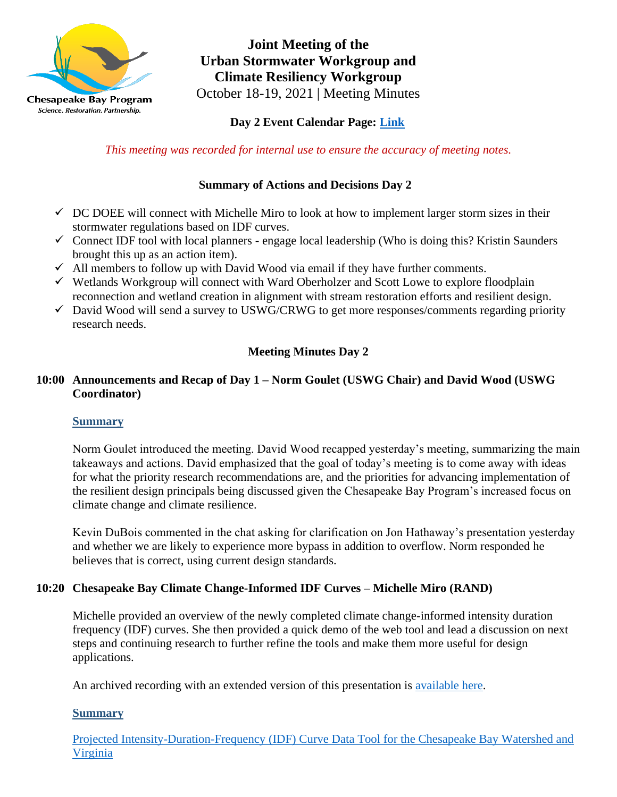

**Joint Meeting of the Urban Stormwater Workgroup and Climate Resiliency Workgroup** October 18-19, 2021 | Meeting Minutes

# **Day 2 Event Calendar Page: [Link](https://www.chesapeakebay.net/what/event/urban_stormwater_workgroup_conference_call_october_2021)**

*This meeting was recorded for internal use to ensure the accuracy of meeting notes.*

# **Summary of Actions and Decisions Day 2**

- $\checkmark$  DC DOEE will connect with Michelle Miro to look at how to implement larger storm sizes in their stormwater regulations based on IDF curves.
- $\checkmark$  Connect IDF tool with local planners engage local leadership (Who is doing this? Kristin Saunders brought this up as an action item).
- $\checkmark$  All members to follow up with David Wood via email if they have further comments.
- ✓ Wetlands Workgroup will connect with Ward Oberholzer and Scott Lowe to explore floodplain reconnection and wetland creation in alignment with stream restoration efforts and resilient design.
- $\checkmark$  David Wood will send a survey to USWG/CRWG to get more responses/comments regarding priority research needs.

# **Meeting Minutes Day 2**

# **10:00 Announcements and Recap of Day 1 – Norm Goulet (USWG Chair) and David Wood (USWG Coordinator)**

### **Summary**

Norm Goulet introduced the meeting. David Wood recapped yesterday's meeting, summarizing the main takeaways and actions. David emphasized that the goal of today's meeting is to come away with ideas for what the priority research recommendations are, and the priorities for advancing implementation of the resilient design principals being discussed given the Chesapeake Bay Program's increased focus on climate change and climate resilience.

Kevin DuBois commented in the chat asking for clarification on Jon Hathaway's presentation yesterday and whether we are likely to experience more bypass in addition to overflow. Norm responded he believes that is correct, using current design standards.

### **10:20 Chesapeake Bay Climate Change-Informed IDF Curves – Michelle Miro (RAND)**

Michelle provided an overview of the newly completed climate change-informed intensity duration frequency (IDF) curves. She then provided a quick demo of the web tool and lead a discussion on next steps and continuing research to further refine the tools and make them more useful for design applications.

An archived recording with an extended version of this presentation is [available here.](https://chesapeakestormwater.net/events/projected-chesapeake-idf-curves/)

### **Summary**

[Projected Intensity-Duration-Frequency \(IDF\) Curve Data Tool for the Chesapeake Bay Watershed and](https://midatlantic-idf.rcc-acis.org/)  [Virginia](https://midatlantic-idf.rcc-acis.org/)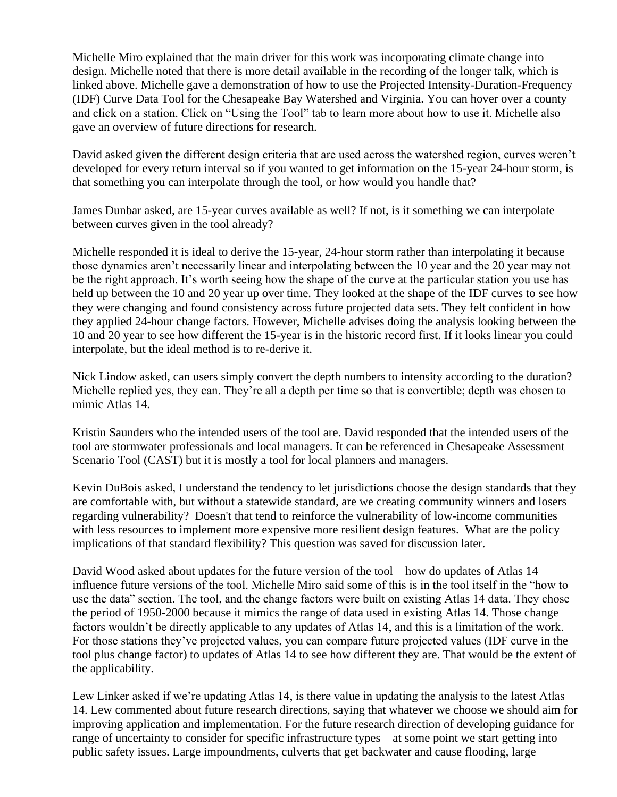Michelle Miro explained that the main driver for this work was incorporating climate change into design. Michelle noted that there is more detail available in the recording of the longer talk, which is linked above. Michelle gave a demonstration of how to use the Projected Intensity-Duration-Frequency (IDF) Curve Data Tool for the Chesapeake Bay Watershed and Virginia. You can hover over a county and click on a station. Click on "Using the Tool" tab to learn more about how to use it. Michelle also gave an overview of future directions for research.

David asked given the different design criteria that are used across the watershed region, curves weren't developed for every return interval so if you wanted to get information on the 15-year 24-hour storm, is that something you can interpolate through the tool, or how would you handle that?

James Dunbar asked, are 15-year curves available as well? If not, is it something we can interpolate between curves given in the tool already?

Michelle responded it is ideal to derive the 15-year, 24-hour storm rather than interpolating it because those dynamics aren't necessarily linear and interpolating between the 10 year and the 20 year may not be the right approach. It's worth seeing how the shape of the curve at the particular station you use has held up between the 10 and 20 year up over time. They looked at the shape of the IDF curves to see how they were changing and found consistency across future projected data sets. They felt confident in how they applied 24-hour change factors. However, Michelle advises doing the analysis looking between the 10 and 20 year to see how different the 15-year is in the historic record first. If it looks linear you could interpolate, but the ideal method is to re-derive it.

Nick Lindow asked, can users simply convert the depth numbers to intensity according to the duration? Michelle replied yes, they can. They're all a depth per time so that is convertible; depth was chosen to mimic Atlas 14.

Kristin Saunders who the intended users of the tool are. David responded that the intended users of the tool are stormwater professionals and local managers. It can be referenced in Chesapeake Assessment Scenario Tool (CAST) but it is mostly a tool for local planners and managers.

Kevin DuBois asked, I understand the tendency to let jurisdictions choose the design standards that they are comfortable with, but without a statewide standard, are we creating community winners and losers regarding vulnerability? Doesn't that tend to reinforce the vulnerability of low-income communities with less resources to implement more expensive more resilient design features. What are the policy implications of that standard flexibility? This question was saved for discussion later.

David Wood asked about updates for the future version of the tool – how do updates of Atlas 14 influence future versions of the tool. Michelle Miro said some of this is in the tool itself in the "how to use the data" section. The tool, and the change factors were built on existing Atlas 14 data. They chose the period of 1950-2000 because it mimics the range of data used in existing Atlas 14. Those change factors wouldn't be directly applicable to any updates of Atlas 14, and this is a limitation of the work. For those stations they've projected values, you can compare future projected values (IDF curve in the tool plus change factor) to updates of Atlas 14 to see how different they are. That would be the extent of the applicability.

Lew Linker asked if we're updating Atlas 14, is there value in updating the analysis to the latest Atlas 14. Lew commented about future research directions, saying that whatever we choose we should aim for improving application and implementation. For the future research direction of developing guidance for range of uncertainty to consider for specific infrastructure types – at some point we start getting into public safety issues. Large impoundments, culverts that get backwater and cause flooding, large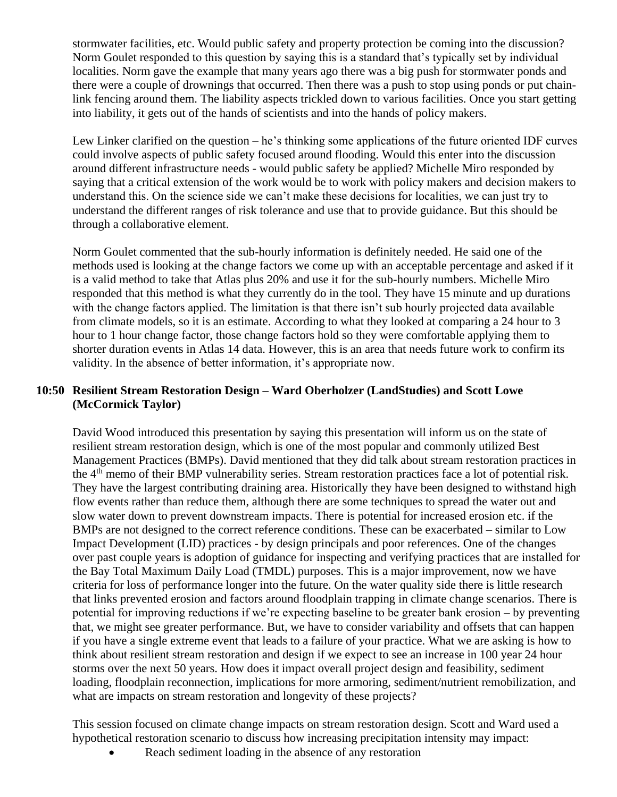stormwater facilities, etc. Would public safety and property protection be coming into the discussion? Norm Goulet responded to this question by saying this is a standard that's typically set by individual localities. Norm gave the example that many years ago there was a big push for stormwater ponds and there were a couple of drownings that occurred. Then there was a push to stop using ponds or put chainlink fencing around them. The liability aspects trickled down to various facilities. Once you start getting into liability, it gets out of the hands of scientists and into the hands of policy makers.

Lew Linker clarified on the question – he's thinking some applications of the future oriented IDF curves could involve aspects of public safety focused around flooding. Would this enter into the discussion around different infrastructure needs - would public safety be applied? Michelle Miro responded by saying that a critical extension of the work would be to work with policy makers and decision makers to understand this. On the science side we can't make these decisions for localities, we can just try to understand the different ranges of risk tolerance and use that to provide guidance. But this should be through a collaborative element.

Norm Goulet commented that the sub-hourly information is definitely needed. He said one of the methods used is looking at the change factors we come up with an acceptable percentage and asked if it is a valid method to take that Atlas plus 20% and use it for the sub-hourly numbers. Michelle Miro responded that this method is what they currently do in the tool. They have 15 minute and up durations with the change factors applied. The limitation is that there isn't sub hourly projected data available from climate models, so it is an estimate. According to what they looked at comparing a 24 hour to 3 hour to 1 hour change factor, those change factors hold so they were comfortable applying them to shorter duration events in Atlas 14 data. However, this is an area that needs future work to confirm its validity. In the absence of better information, it's appropriate now.

### **10:50 Resilient Stream Restoration Design – Ward Oberholzer (LandStudies) and Scott Lowe (McCormick Taylor)**

David Wood introduced this presentation by saying this presentation will inform us on the state of resilient stream restoration design, which is one of the most popular and commonly utilized Best Management Practices (BMPs). David mentioned that they did talk about stream restoration practices in the 4<sup>th</sup> memo of their BMP vulnerability series. Stream restoration practices face a lot of potential risk. They have the largest contributing draining area. Historically they have been designed to withstand high flow events rather than reduce them, although there are some techniques to spread the water out and slow water down to prevent downstream impacts. There is potential for increased erosion etc. if the BMPs are not designed to the correct reference conditions. These can be exacerbated – similar to Low Impact Development (LID) practices - by design principals and poor references. One of the changes over past couple years is adoption of guidance for inspecting and verifying practices that are installed for the Bay Total Maximum Daily Load (TMDL) purposes. This is a major improvement, now we have criteria for loss of performance longer into the future. On the water quality side there is little research that links prevented erosion and factors around floodplain trapping in climate change scenarios. There is potential for improving reductions if we're expecting baseline to be greater bank erosion – by preventing that, we might see greater performance. But, we have to consider variability and offsets that can happen if you have a single extreme event that leads to a failure of your practice. What we are asking is how to think about resilient stream restoration and design if we expect to see an increase in 100 year 24 hour storms over the next 50 years. How does it impact overall project design and feasibility, sediment loading, floodplain reconnection, implications for more armoring, sediment/nutrient remobilization, and what are impacts on stream restoration and longevity of these projects?

This session focused on climate change impacts on stream restoration design. Scott and Ward used a hypothetical restoration scenario to discuss how increasing precipitation intensity may impact:

Reach sediment loading in the absence of any restoration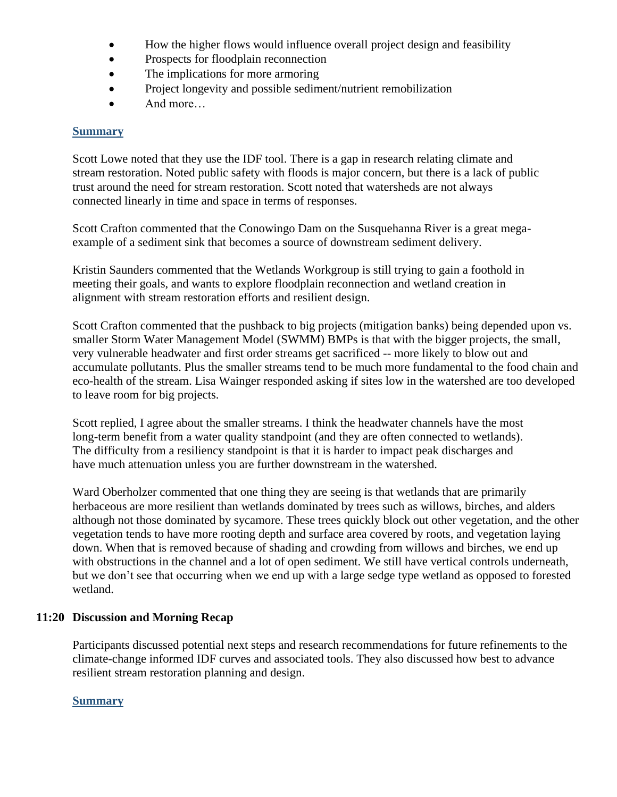- How the higher flows would influence overall project design and feasibility
- Prospects for floodplain reconnection
- The implications for more armoring
- Project longevity and possible sediment/nutrient remobilization
- And more...

#### **Summary**

Scott Lowe noted that they use the IDF tool. There is a gap in research relating climate and stream restoration. Noted public safety with floods is major concern, but there is a lack of public trust around the need for stream restoration. Scott noted that watersheds are not always connected linearly in time and space in terms of responses.

Scott Crafton commented that the Conowingo Dam on the Susquehanna River is a great megaexample of a sediment sink that becomes a source of downstream sediment delivery.

Kristin Saunders commented that the Wetlands Workgroup is still trying to gain a foothold in meeting their goals, and wants to explore floodplain reconnection and wetland creation in alignment with stream restoration efforts and resilient design.

Scott Crafton commented that the pushback to big projects (mitigation banks) being depended upon vs. smaller Storm Water Management Model (SWMM) BMPs is that with the bigger projects, the small, very vulnerable headwater and first order streams get sacrificed -- more likely to blow out and accumulate pollutants. Plus the smaller streams tend to be much more fundamental to the food chain and eco-health of the stream. Lisa Wainger responded asking if sites low in the watershed are too developed to leave room for big projects.

Scott replied, I agree about the smaller streams. I think the headwater channels have the most long-term benefit from a water quality standpoint (and they are often connected to wetlands). The difficulty from a resiliency standpoint is that it is harder to impact peak discharges and have much attenuation unless you are further downstream in the watershed.

Ward Oberholzer commented that one thing they are seeing is that wetlands that are primarily herbaceous are more resilient than wetlands dominated by trees such as willows, birches, and alders although not those dominated by sycamore. These trees quickly block out other vegetation, and the other vegetation tends to have more rooting depth and surface area covered by roots, and vegetation laying down. When that is removed because of shading and crowding from willows and birches, we end up with obstructions in the channel and a lot of open sediment. We still have vertical controls underneath, but we don't see that occurring when we end up with a large sedge type wetland as opposed to forested wetland.

### **11:20 Discussion and Morning Recap**

Participants discussed potential next steps and research recommendations for future refinements to the climate-change informed IDF curves and associated tools. They also discussed how best to advance resilient stream restoration planning and design.

#### **Summary**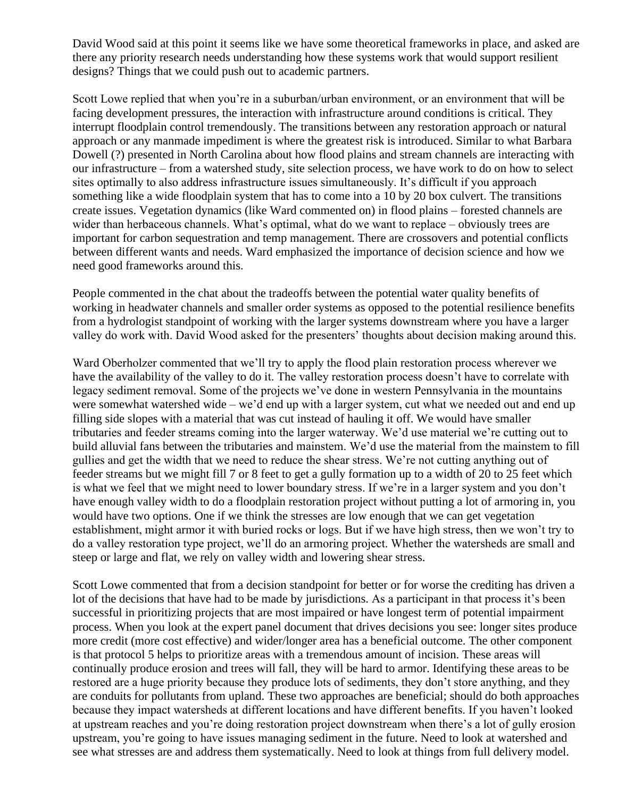David Wood said at this point it seems like we have some theoretical frameworks in place, and asked are there any priority research needs understanding how these systems work that would support resilient designs? Things that we could push out to academic partners.

Scott Lowe replied that when you're in a suburban/urban environment, or an environment that will be facing development pressures, the interaction with infrastructure around conditions is critical. They interrupt floodplain control tremendously. The transitions between any restoration approach or natural approach or any manmade impediment is where the greatest risk is introduced. Similar to what Barbara Dowell (?) presented in North Carolina about how flood plains and stream channels are interacting with our infrastructure – from a watershed study, site selection process, we have work to do on how to select sites optimally to also address infrastructure issues simultaneously. It's difficult if you approach something like a wide floodplain system that has to come into a 10 by 20 box culvert. The transitions create issues. Vegetation dynamics (like Ward commented on) in flood plains – forested channels are wider than herbaceous channels. What's optimal, what do we want to replace – obviously trees are important for carbon sequestration and temp management. There are crossovers and potential conflicts between different wants and needs. Ward emphasized the importance of decision science and how we need good frameworks around this.

People commented in the chat about the tradeoffs between the potential water quality benefits of working in headwater channels and smaller order systems as opposed to the potential resilience benefits from a hydrologist standpoint of working with the larger systems downstream where you have a larger valley do work with. David Wood asked for the presenters' thoughts about decision making around this.

Ward Oberholzer commented that we'll try to apply the flood plain restoration process wherever we have the availability of the valley to do it. The valley restoration process doesn't have to correlate with legacy sediment removal. Some of the projects we've done in western Pennsylvania in the mountains were somewhat watershed wide – we'd end up with a larger system, cut what we needed out and end up filling side slopes with a material that was cut instead of hauling it off. We would have smaller tributaries and feeder streams coming into the larger waterway. We'd use material we're cutting out to build alluvial fans between the tributaries and mainstem. We'd use the material from the mainstem to fill gullies and get the width that we need to reduce the shear stress. We're not cutting anything out of feeder streams but we might fill 7 or 8 feet to get a gully formation up to a width of 20 to 25 feet which is what we feel that we might need to lower boundary stress. If we're in a larger system and you don't have enough valley width to do a floodplain restoration project without putting a lot of armoring in, you would have two options. One if we think the stresses are low enough that we can get vegetation establishment, might armor it with buried rocks or logs. But if we have high stress, then we won't try to do a valley restoration type project, we'll do an armoring project. Whether the watersheds are small and steep or large and flat, we rely on valley width and lowering shear stress.

Scott Lowe commented that from a decision standpoint for better or for worse the crediting has driven a lot of the decisions that have had to be made by jurisdictions. As a participant in that process it's been successful in prioritizing projects that are most impaired or have longest term of potential impairment process. When you look at the expert panel document that drives decisions you see: longer sites produce more credit (more cost effective) and wider/longer area has a beneficial outcome. The other component is that protocol 5 helps to prioritize areas with a tremendous amount of incision. These areas will continually produce erosion and trees will fall, they will be hard to armor. Identifying these areas to be restored are a huge priority because they produce lots of sediments, they don't store anything, and they are conduits for pollutants from upland. These two approaches are beneficial; should do both approaches because they impact watersheds at different locations and have different benefits. If you haven't looked at upstream reaches and you're doing restoration project downstream when there's a lot of gully erosion upstream, you're going to have issues managing sediment in the future. Need to look at watershed and see what stresses are and address them systematically. Need to look at things from full delivery model.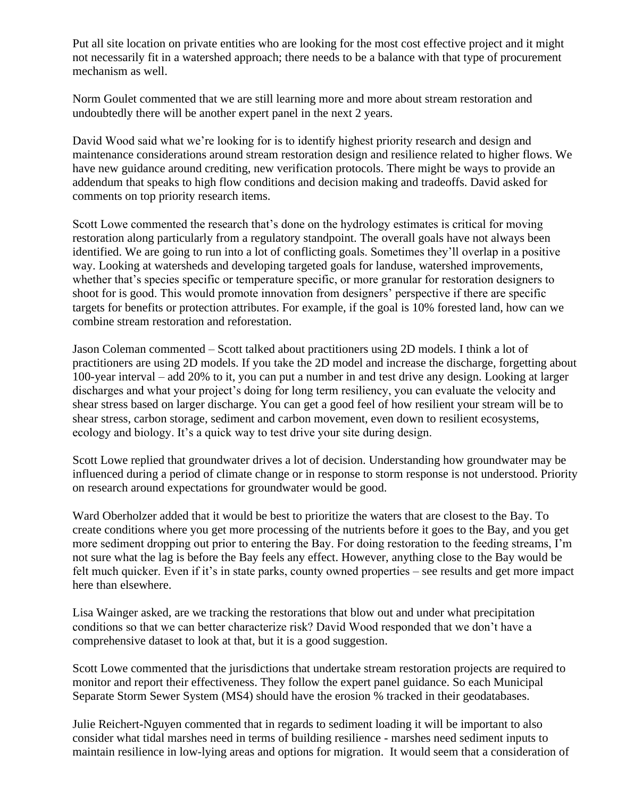Put all site location on private entities who are looking for the most cost effective project and it might not necessarily fit in a watershed approach; there needs to be a balance with that type of procurement mechanism as well.

Norm Goulet commented that we are still learning more and more about stream restoration and undoubtedly there will be another expert panel in the next 2 years.

David Wood said what we're looking for is to identify highest priority research and design and maintenance considerations around stream restoration design and resilience related to higher flows. We have new guidance around crediting, new verification protocols. There might be ways to provide an addendum that speaks to high flow conditions and decision making and tradeoffs. David asked for comments on top priority research items.

Scott Lowe commented the research that's done on the hydrology estimates is critical for moving restoration along particularly from a regulatory standpoint. The overall goals have not always been identified. We are going to run into a lot of conflicting goals. Sometimes they'll overlap in a positive way. Looking at watersheds and developing targeted goals for landuse, watershed improvements, whether that's species specific or temperature specific, or more granular for restoration designers to shoot for is good. This would promote innovation from designers' perspective if there are specific targets for benefits or protection attributes. For example, if the goal is 10% forested land, how can we combine stream restoration and reforestation.

Jason Coleman commented – Scott talked about practitioners using 2D models. I think a lot of practitioners are using 2D models. If you take the 2D model and increase the discharge, forgetting about 100-year interval – add 20% to it, you can put a number in and test drive any design. Looking at larger discharges and what your project's doing for long term resiliency, you can evaluate the velocity and shear stress based on larger discharge. You can get a good feel of how resilient your stream will be to shear stress, carbon storage, sediment and carbon movement, even down to resilient ecosystems, ecology and biology. It's a quick way to test drive your site during design.

Scott Lowe replied that groundwater drives a lot of decision. Understanding how groundwater may be influenced during a period of climate change or in response to storm response is not understood. Priority on research around expectations for groundwater would be good.

Ward Oberholzer added that it would be best to prioritize the waters that are closest to the Bay. To create conditions where you get more processing of the nutrients before it goes to the Bay, and you get more sediment dropping out prior to entering the Bay. For doing restoration to the feeding streams, I'm not sure what the lag is before the Bay feels any effect. However, anything close to the Bay would be felt much quicker. Even if it's in state parks, county owned properties – see results and get more impact here than elsewhere.

Lisa Wainger asked, are we tracking the restorations that blow out and under what precipitation conditions so that we can better characterize risk? David Wood responded that we don't have a comprehensive dataset to look at that, but it is a good suggestion.

Scott Lowe commented that the jurisdictions that undertake stream restoration projects are required to monitor and report their effectiveness. They follow the expert panel guidance. So each Municipal Separate Storm Sewer System (MS4) should have the erosion % tracked in their geodatabases.

Julie Reichert-Nguyen commented that in regards to sediment loading it will be important to also consider what tidal marshes need in terms of building resilience - marshes need sediment inputs to maintain resilience in low-lying areas and options for migration. It would seem that a consideration of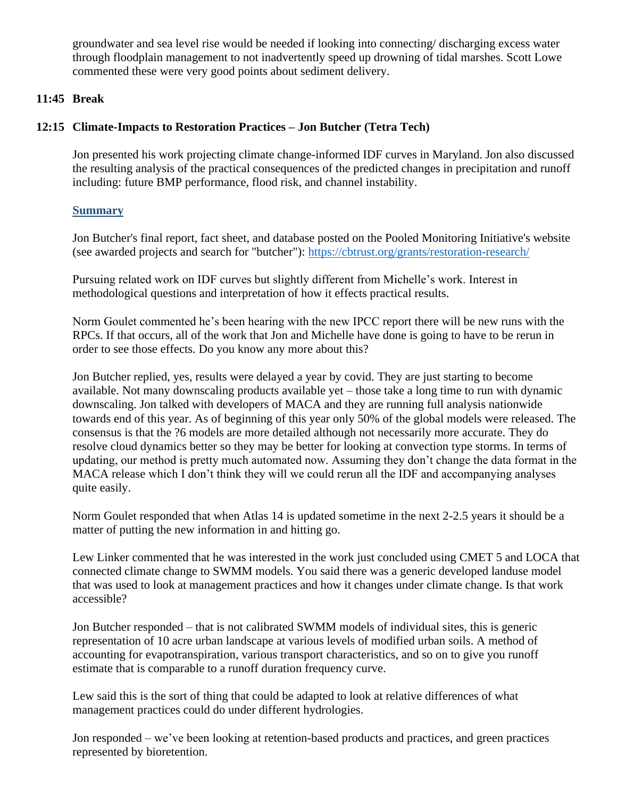groundwater and sea level rise would be needed if looking into connecting/ discharging excess water through floodplain management to not inadvertently speed up drowning of tidal marshes. Scott Lowe commented these were very good points about sediment delivery.

### **11:45 Break**

# **12:15 Climate-Impacts to Restoration Practices – Jon Butcher (Tetra Tech)**

Jon presented his work projecting climate change-informed IDF curves in Maryland. Jon also discussed the resulting analysis of the practical consequences of the predicted changes in precipitation and runoff including: future BMP performance, flood risk, and channel instability.

# **Summary**

Jon Butcher's final report, fact sheet, and database posted on the Pooled Monitoring Initiative's website (see awarded projects and search for "butcher"):<https://cbtrust.org/grants/restoration-research/>

Pursuing related work on IDF curves but slightly different from Michelle's work. Interest in methodological questions and interpretation of how it effects practical results.

Norm Goulet commented he's been hearing with the new IPCC report there will be new runs with the RPCs. If that occurs, all of the work that Jon and Michelle have done is going to have to be rerun in order to see those effects. Do you know any more about this?

Jon Butcher replied, yes, results were delayed a year by covid. They are just starting to become available. Not many downscaling products available yet – those take a long time to run with dynamic downscaling. Jon talked with developers of MACA and they are running full analysis nationwide towards end of this year. As of beginning of this year only 50% of the global models were released. The consensus is that the ?6 models are more detailed although not necessarily more accurate. They do resolve cloud dynamics better so they may be better for looking at convection type storms. In terms of updating, our method is pretty much automated now. Assuming they don't change the data format in the MACA release which I don't think they will we could rerun all the IDF and accompanying analyses quite easily.

Norm Goulet responded that when Atlas 14 is updated sometime in the next 2-2.5 years it should be a matter of putting the new information in and hitting go.

Lew Linker commented that he was interested in the work just concluded using CMET 5 and LOCA that connected climate change to SWMM models. You said there was a generic developed landuse model that was used to look at management practices and how it changes under climate change. Is that work accessible?

Jon Butcher responded – that is not calibrated SWMM models of individual sites, this is generic representation of 10 acre urban landscape at various levels of modified urban soils. A method of accounting for evapotranspiration, various transport characteristics, and so on to give you runoff estimate that is comparable to a runoff duration frequency curve.

Lew said this is the sort of thing that could be adapted to look at relative differences of what management practices could do under different hydrologies.

Jon responded – we've been looking at retention-based products and practices, and green practices represented by bioretention.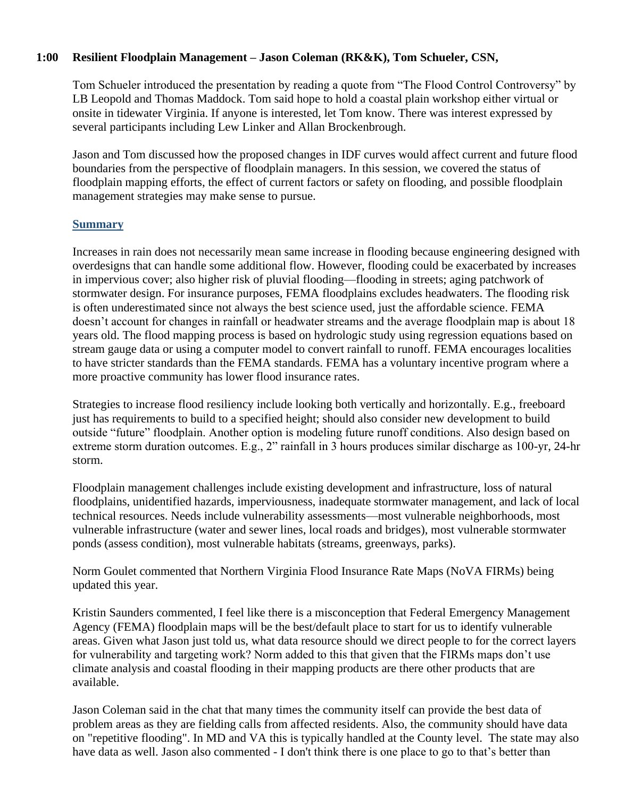### **1:00 Resilient Floodplain Management – Jason Coleman (RK&K), Tom Schueler, CSN,**

Tom Schueler introduced the presentation by reading a quote from "The Flood Control Controversy" by LB Leopold and Thomas Maddock. Tom said hope to hold a coastal plain workshop either virtual or onsite in tidewater Virginia. If anyone is interested, let Tom know. There was interest expressed by several participants including Lew Linker and Allan Brockenbrough.

Jason and Tom discussed how the proposed changes in IDF curves would affect current and future flood boundaries from the perspective of floodplain managers. In this session, we covered the status of floodplain mapping efforts, the effect of current factors or safety on flooding, and possible floodplain management strategies may make sense to pursue.

#### **Summary**

Increases in rain does not necessarily mean same increase in flooding because engineering designed with overdesigns that can handle some additional flow. However, flooding could be exacerbated by increases in impervious cover; also higher risk of pluvial flooding—flooding in streets; aging patchwork of stormwater design. For insurance purposes, FEMA floodplains excludes headwaters. The flooding risk is often underestimated since not always the best science used, just the affordable science. FEMA doesn't account for changes in rainfall or headwater streams and the average floodplain map is about 18 years old. The flood mapping process is based on hydrologic study using regression equations based on stream gauge data or using a computer model to convert rainfall to runoff. FEMA encourages localities to have stricter standards than the FEMA standards. FEMA has a voluntary incentive program where a more proactive community has lower flood insurance rates.

Strategies to increase flood resiliency include looking both vertically and horizontally. E.g., freeboard just has requirements to build to a specified height; should also consider new development to build outside "future" floodplain. Another option is modeling future runoff conditions. Also design based on extreme storm duration outcomes. E.g., 2" rainfall in 3 hours produces similar discharge as 100-yr, 24-hr storm.

Floodplain management challenges include existing development and infrastructure, loss of natural floodplains, unidentified hazards, imperviousness, inadequate stormwater management, and lack of local technical resources. Needs include vulnerability assessments—most vulnerable neighborhoods, most vulnerable infrastructure (water and sewer lines, local roads and bridges), most vulnerable stormwater ponds (assess condition), most vulnerable habitats (streams, greenways, parks).

Norm Goulet commented that Northern Virginia Flood Insurance Rate Maps (NoVA FIRMs) being updated this year.

Kristin Saunders commented, I feel like there is a misconception that Federal Emergency Management Agency (FEMA) floodplain maps will be the best/default place to start for us to identify vulnerable areas. Given what Jason just told us, what data resource should we direct people to for the correct layers for vulnerability and targeting work? Norm added to this that given that the FIRMs maps don't use climate analysis and coastal flooding in their mapping products are there other products that are available.

Jason Coleman said in the chat that many times the community itself can provide the best data of problem areas as they are fielding calls from affected residents. Also, the community should have data on "repetitive flooding". In MD and VA this is typically handled at the County level. The state may also have data as well. Jason also commented - I don't think there is one place to go to that's better than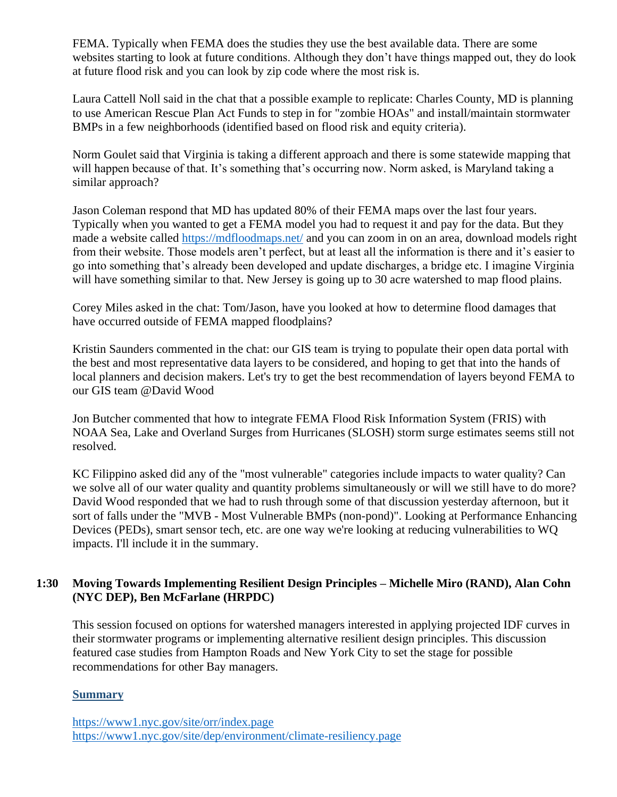FEMA. Typically when FEMA does the studies they use the best available data. There are some websites starting to look at future conditions. Although they don't have things mapped out, they do look at future flood risk and you can look by zip code where the most risk is.

Laura Cattell Noll said in the chat that a possible example to replicate: Charles County, MD is planning to use American Rescue Plan Act Funds to step in for "zombie HOAs" and install/maintain stormwater BMPs in a few neighborhoods (identified based on flood risk and equity criteria).

Norm Goulet said that Virginia is taking a different approach and there is some statewide mapping that will happen because of that. It's something that's occurring now. Norm asked, is Maryland taking a similar approach?

Jason Coleman respond that MD has updated 80% of their FEMA maps over the last four years. Typically when you wanted to get a FEMA model you had to request it and pay for the data. But they made a website called<https://mdfloodmaps.net/> and you can zoom in on an area, download models right from their website. Those models aren't perfect, but at least all the information is there and it's easier to go into something that's already been developed and update discharges, a bridge etc. I imagine Virginia will have something similar to that. New Jersey is going up to 30 acre watershed to map flood plains.

Corey Miles asked in the chat: Tom/Jason, have you looked at how to determine flood damages that have occurred outside of FEMA mapped floodplains?

Kristin Saunders commented in the chat: our GIS team is trying to populate their open data portal with the best and most representative data layers to be considered, and hoping to get that into the hands of local planners and decision makers. Let's try to get the best recommendation of layers beyond FEMA to our GIS team @David Wood

Jon Butcher commented that how to integrate FEMA Flood Risk Information System (FRIS) with NOAA Sea, Lake and Overland Surges from Hurricanes (SLOSH) storm surge estimates seems still not resolved.

KC Filippino asked did any of the "most vulnerable" categories include impacts to water quality? Can we solve all of our water quality and quantity problems simultaneously or will we still have to do more? David Wood responded that we had to rush through some of that discussion yesterday afternoon, but it sort of falls under the "MVB - Most Vulnerable BMPs (non-pond)". Looking at Performance Enhancing Devices (PEDs), smart sensor tech, etc. are one way we're looking at reducing vulnerabilities to WQ impacts. I'll include it in the summary.

# **1:30 Moving Towards Implementing Resilient Design Principles – Michelle Miro (RAND), Alan Cohn (NYC DEP), Ben McFarlane (HRPDC)**

This session focused on options for watershed managers interested in applying projected IDF curves in their stormwater programs or implementing alternative resilient design principles. This discussion featured case studies from Hampton Roads and New York City to set the stage for possible recommendations for other Bay managers.

### **Summary**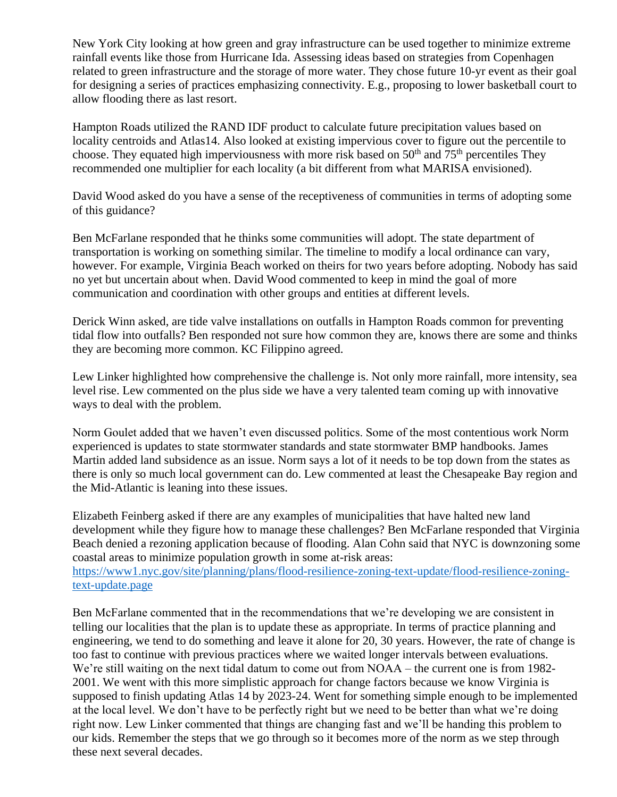New York City looking at how green and gray infrastructure can be used together to minimize extreme rainfall events like those from Hurricane Ida. Assessing ideas based on strategies from Copenhagen related to green infrastructure and the storage of more water. They chose future 10-yr event as their goal for designing a series of practices emphasizing connectivity. E.g., proposing to lower basketball court to allow flooding there as last resort.

Hampton Roads utilized the RAND IDF product to calculate future precipitation values based on locality centroids and Atlas14. Also looked at existing impervious cover to figure out the percentile to choose. They equated high imperviousness with more risk based on  $50<sup>th</sup>$  and  $75<sup>th</sup>$  percentiles They recommended one multiplier for each locality (a bit different from what MARISA envisioned).

David Wood asked do you have a sense of the receptiveness of communities in terms of adopting some of this guidance?

Ben McFarlane responded that he thinks some communities will adopt. The state department of transportation is working on something similar. The timeline to modify a local ordinance can vary, however. For example, Virginia Beach worked on theirs for two years before adopting. Nobody has said no yet but uncertain about when. David Wood commented to keep in mind the goal of more communication and coordination with other groups and entities at different levels.

Derick Winn asked, are tide valve installations on outfalls in Hampton Roads common for preventing tidal flow into outfalls? Ben responded not sure how common they are, knows there are some and thinks they are becoming more common. KC Filippino agreed.

Lew Linker highlighted how comprehensive the challenge is. Not only more rainfall, more intensity, sea level rise. Lew commented on the plus side we have a very talented team coming up with innovative ways to deal with the problem.

Norm Goulet added that we haven't even discussed politics. Some of the most contentious work Norm experienced is updates to state stormwater standards and state stormwater BMP handbooks. James Martin added land subsidence as an issue. Norm says a lot of it needs to be top down from the states as there is only so much local government can do. Lew commented at least the Chesapeake Bay region and the Mid-Atlantic is leaning into these issues.

Elizabeth Feinberg asked if there are any examples of municipalities that have halted new land development while they figure how to manage these challenges? Ben McFarlane responded that Virginia Beach denied a rezoning application because of flooding. Alan Cohn said that NYC is downzoning some coastal areas to minimize population growth in some at-risk areas:

[https://www1.nyc.gov/site/planning/plans/flood-resilience-zoning-text-update/flood-resilience-zoning](https://www1.nyc.gov/site/planning/plans/flood-resilience-zoning-text-update/flood-resilience-zoning-text-update.page)[text-update.page](https://www1.nyc.gov/site/planning/plans/flood-resilience-zoning-text-update/flood-resilience-zoning-text-update.page)

Ben McFarlane commented that in the recommendations that we're developing we are consistent in telling our localities that the plan is to update these as appropriate. In terms of practice planning and engineering, we tend to do something and leave it alone for 20, 30 years. However, the rate of change is too fast to continue with previous practices where we waited longer intervals between evaluations. We're still waiting on the next tidal datum to come out from NOAA – the current one is from 1982-2001. We went with this more simplistic approach for change factors because we know Virginia is supposed to finish updating Atlas 14 by 2023-24. Went for something simple enough to be implemented at the local level. We don't have to be perfectly right but we need to be better than what we're doing right now. Lew Linker commented that things are changing fast and we'll be handing this problem to our kids. Remember the steps that we go through so it becomes more of the norm as we step through these next several decades.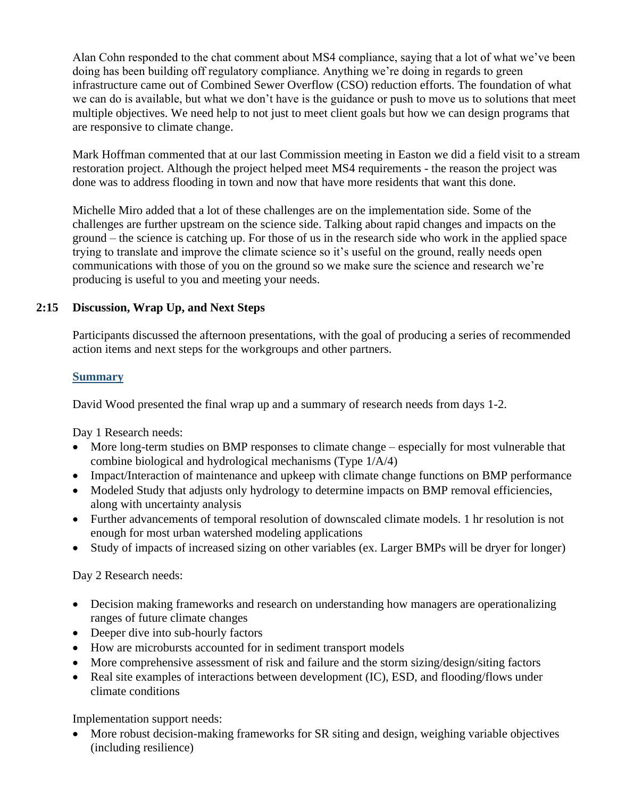Alan Cohn responded to the chat comment about MS4 compliance, saying that a lot of what we've been doing has been building off regulatory compliance. Anything we're doing in regards to green infrastructure came out of Combined Sewer Overflow (CSO) reduction efforts. The foundation of what we can do is available, but what we don't have is the guidance or push to move us to solutions that meet multiple objectives. We need help to not just to meet client goals but how we can design programs that are responsive to climate change.

Mark Hoffman commented that at our last Commission meeting in Easton we did a field visit to a stream restoration project. Although the project helped meet MS4 requirements - the reason the project was done was to address flooding in town and now that have more residents that want this done.

Michelle Miro added that a lot of these challenges are on the implementation side. Some of the challenges are further upstream on the science side. Talking about rapid changes and impacts on the ground – the science is catching up. For those of us in the research side who work in the applied space trying to translate and improve the climate science so it's useful on the ground, really needs open communications with those of you on the ground so we make sure the science and research we're producing is useful to you and meeting your needs.

# **2:15 Discussion, Wrap Up, and Next Steps**

Participants discussed the afternoon presentations, with the goal of producing a series of recommended action items and next steps for the workgroups and other partners.

#### **Summary**

David Wood presented the final wrap up and a summary of research needs from days 1-2.

Day 1 Research needs:

- More long-term studies on BMP responses to climate change especially for most vulnerable that combine biological and hydrological mechanisms (Type 1/A/4)
- Impact/Interaction of maintenance and upkeep with climate change functions on BMP performance
- Modeled Study that adjusts only hydrology to determine impacts on BMP removal efficiencies, along with uncertainty analysis
- Further advancements of temporal resolution of downscaled climate models. 1 hr resolution is not enough for most urban watershed modeling applications
- Study of impacts of increased sizing on other variables (ex. Larger BMPs will be dryer for longer)

Day 2 Research needs:

- Decision making frameworks and research on understanding how managers are operationalizing ranges of future climate changes
- Deeper dive into sub-hourly factors
- How are microbursts accounted for in sediment transport models
- More comprehensive assessment of risk and failure and the storm sizing/design/siting factors
- Real site examples of interactions between development (IC), ESD, and flooding/flows under climate conditions

Implementation support needs:

• More robust decision-making frameworks for SR siting and design, weighing variable objectives (including resilience)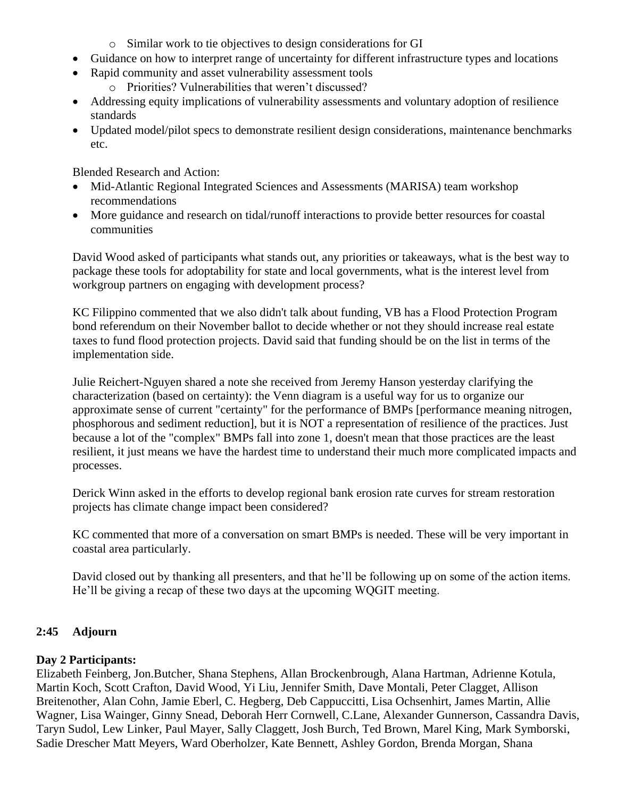- o Similar work to tie objectives to design considerations for GI
- Guidance on how to interpret range of uncertainty for different infrastructure types and locations
- Rapid community and asset vulnerability assessment tools
	- o Priorities? Vulnerabilities that weren't discussed?
- Addressing equity implications of vulnerability assessments and voluntary adoption of resilience standards
- Updated model/pilot specs to demonstrate resilient design considerations, maintenance benchmarks etc.

Blended Research and Action:

- Mid-Atlantic Regional Integrated Sciences and Assessments (MARISA) team workshop recommendations
- More guidance and research on tidal/runoff interactions to provide better resources for coastal communities

David Wood asked of participants what stands out, any priorities or takeaways, what is the best way to package these tools for adoptability for state and local governments, what is the interest level from workgroup partners on engaging with development process?

KC Filippino commented that we also didn't talk about funding, VB has a Flood Protection Program bond referendum on their November ballot to decide whether or not they should increase real estate taxes to fund flood protection projects. David said that funding should be on the list in terms of the implementation side.

Julie Reichert-Nguyen shared a note she received from Jeremy Hanson yesterday clarifying the characterization (based on certainty): the Venn diagram is a useful way for us to organize our approximate sense of current "certainty" for the performance of BMPs [performance meaning nitrogen, phosphorous and sediment reduction], but it is NOT a representation of resilience of the practices. Just because a lot of the "complex" BMPs fall into zone 1, doesn't mean that those practices are the least resilient, it just means we have the hardest time to understand their much more complicated impacts and processes.

Derick Winn asked in the efforts to develop regional bank erosion rate curves for stream restoration projects has climate change impact been considered?

KC commented that more of a conversation on smart BMPs is needed. These will be very important in coastal area particularly.

David closed out by thanking all presenters, and that he'll be following up on some of the action items. He'll be giving a recap of these two days at the upcoming WQGIT meeting.

# **2:45 Adjourn**

### **Day 2 Participants:**

Elizabeth Feinberg, Jon.Butcher, Shana Stephens, Allan Brockenbrough, Alana Hartman, Adrienne Kotula, Martin Koch, Scott Crafton, David Wood, Yi Liu, Jennifer Smith, Dave Montali, Peter Clagget, Allison Breitenother, Alan Cohn, Jamie Eberl, C. Hegberg, Deb Cappuccitti, Lisa Ochsenhirt, James Martin, Allie Wagner, Lisa Wainger, Ginny Snead, Deborah Herr Cornwell, C.Lane, Alexander Gunnerson, Cassandra Davis, Taryn Sudol, Lew Linker, Paul Mayer, Sally Claggett, Josh Burch, Ted Brown, Marel King, Mark Symborski, Sadie Drescher Matt Meyers, Ward Oberholzer, Kate Bennett, Ashley Gordon, Brenda Morgan, Shana